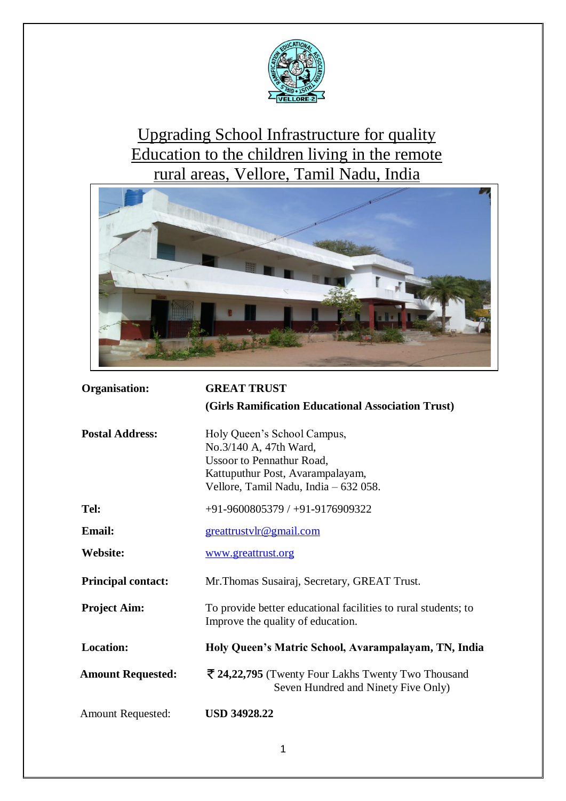

# Upgrading School Infrastructure for quality Education to the children living in the remote rural areas, Vellore, Tamil Nadu, India



| Organisation:             | <b>GREAT TRUST</b>                                                                                                                                                     |  |
|---------------------------|------------------------------------------------------------------------------------------------------------------------------------------------------------------------|--|
|                           | (Girls Ramification Educational Association Trust)                                                                                                                     |  |
| <b>Postal Address:</b>    | Holy Queen's School Campus,<br>No.3/140 A, 47th Ward,<br><b>Ussoor to Pennathur Road,</b><br>Kattuputhur Post, Avarampalayam,<br>Vellore, Tamil Nadu, India – 632 058. |  |
| Tel:                      | $+91-9600805379/ +91-9176909322$                                                                                                                                       |  |
| <b>Email:</b>             | greattrustylr@gmail.com                                                                                                                                                |  |
| <b>Website:</b>           | www.greattrust.org                                                                                                                                                     |  |
| <b>Principal contact:</b> | Mr. Thomas Susairaj, Secretary, GREAT Trust.                                                                                                                           |  |
| <b>Project Aim:</b>       | To provide better educational facilities to rural students; to<br>Improve the quality of education.                                                                    |  |
| <b>Location:</b>          | Holy Queen's Matric School, Avarampalayam, TN, India                                                                                                                   |  |
| <b>Amount Requested:</b>  | ₹ 24,22,795 (Twenty Four Lakhs Twenty Two Thousand<br>Seven Hundred and Ninety Five Only)                                                                              |  |
| <b>Amount Requested:</b>  | <b>USD 34928.22</b>                                                                                                                                                    |  |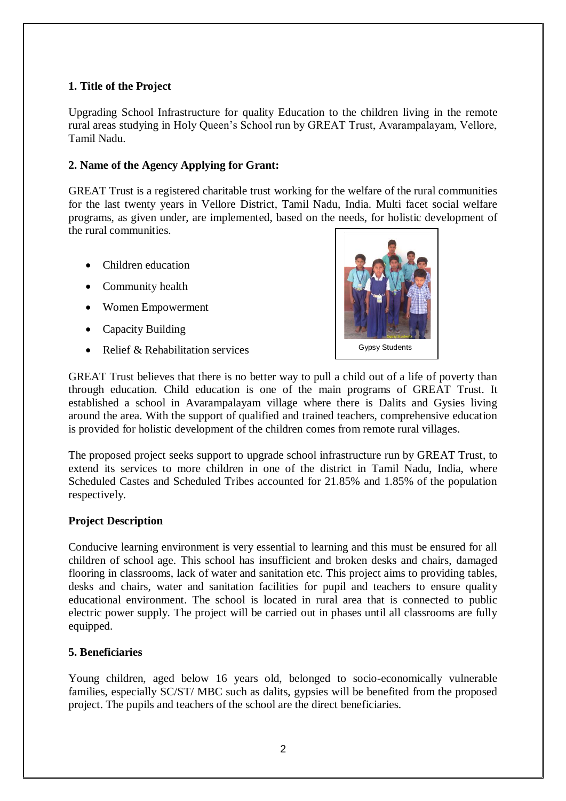# **1. Title of the Project**

Upgrading School Infrastructure for quality Education to the children living in the remote rural areas studying in Holy Queen's School run by GREAT Trust, Avarampalayam, Vellore, Tamil Nadu.

## **2. Name of the Agency Applying for Grant:**

GREAT Trust is a registered charitable trust working for the welfare of the rural communities for the last twenty years in Vellore District, Tamil Nadu, India. Multi facet social welfare programs, as given under, are implemented, based on the needs, for holistic development of the rural communities.

- Children education
- Community health
- Women Empowerment
- Capacity Building
- Relief  $&$  Rehabilitation services



GREAT Trust believes that there is no better way to pull a child out of a life of poverty than through education. Child education is one of the main programs of GREAT Trust. It established a school in Avarampalayam village where there is Dalits and Gysies living around the area. With the support of qualified and trained teachers, comprehensive education is provided for holistic development of the children comes from remote rural villages.

The proposed project seeks support to upgrade school infrastructure run by GREAT Trust, to extend its services to more children in one of the district in Tamil Nadu, India, where Scheduled Castes and Scheduled Tribes accounted for 21.85% and 1.85% of the population respectively.

#### **Project Description**

Conducive learning environment is very essential to learning and this must be ensured for all children of school age. This school has insufficient and broken desks and chairs, damaged flooring in classrooms, lack of water and sanitation etc. This project aims to providing tables, desks and chairs, water and sanitation facilities for pupil and teachers to ensure quality educational environment. The school is located in rural area that is connected to public electric power supply. The project will be carried out in phases until all classrooms are fully equipped.

#### **5. Beneficiaries**

Young children, aged below 16 years old, belonged to socio-economically vulnerable families, especially SC/ST/ MBC such as dalits, gypsies will be benefited from the proposed project. The pupils and teachers of the school are the direct beneficiaries.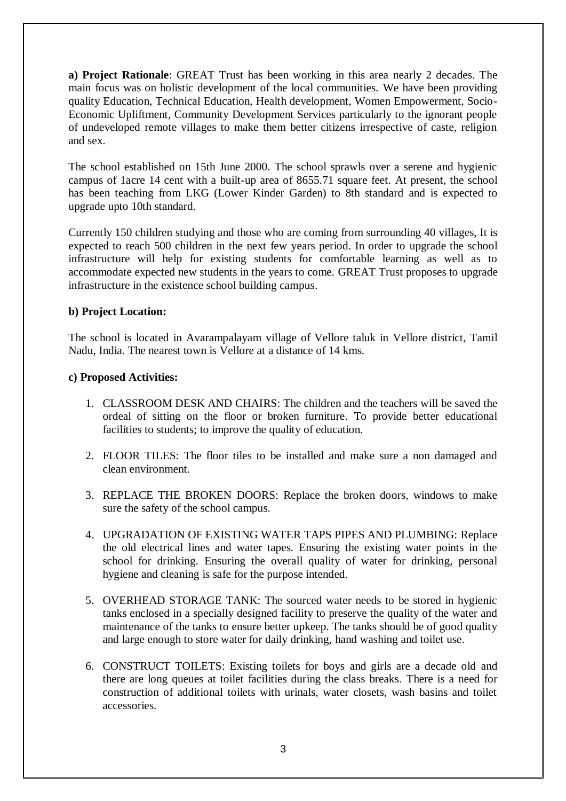**a) Project Rationale**: GREAT Trust has been working in this area nearly 2 decades. The main focus was on holistic development of the local communities. We have been providing quality Education, Technical Education, Health development, Women Empowerment, Socio-Economic Upliftment, Community Development Services particularly to the ignorant people of undeveloped remote villages to make them better citizens irrespective of caste, religion and sex.

The school established on 15th June 2000. The school sprawls over a serene and hygienic campus of 1acre 14 cent with a built-up area of 8655.71 square feet. At present, the school has been teaching from LKG (Lower Kinder Garden) to 8th standard and is expected to upgrade upto 10th standard.

Currently 150 children studying and those who are coming from surrounding 40 villages, It is expected to reach 500 children in the next few years period. In order to upgrade the school infrastructure will help for existing students for comfortable learning as well as to accommodate expected new students in the years to come. GREAT Trust proposes to upgrade infrastructure in the existence school building campus.

## **b) Project Location:**

The school is located in Avarampalayam village of Vellore taluk in Vellore district, Tamil Nadu, India. The nearest town is Vellore at a distance of 14 kms.

#### **c) Proposed Activities:**

- 1. CLASSROOM DESK AND CHAIRS: The children and the teachers will be saved the ordeal of sitting on the floor or broken furniture. To provide better educational facilities to students; to improve the quality of education.
- 2. FLOOR TILES: The floor tiles to be installed and make sure a non damaged and clean environment.
- 3. REPLACE THE BROKEN DOORS: Replace the broken doors, windows to make sure the safety of the school campus.
- 4. UPGRADATION OF EXISTING WATER TAPS PIPES AND PLUMBING: Replace the old electrical lines and water tapes. Ensuring the existing water points in the school for drinking. Ensuring the overall quality of water for drinking, personal hygiene and cleaning is safe for the purpose intended.
- 5. OVERHEAD STORAGE TANK: The sourced water needs to be stored in hygienic tanks enclosed in a specially designed facility to preserve the quality of the water and maintenance of the tanks to ensure better upkeep. The tanks should be of good quality and large enough to store water for daily drinking, hand washing and toilet use.
- 6. CONSTRUCT TOILETS: Existing toilets for boys and girls are a decade old and there are long queues at toilet facilities during the class breaks. There is a need for construction of additional toilets with urinals, water closets, wash basins and toilet accessories.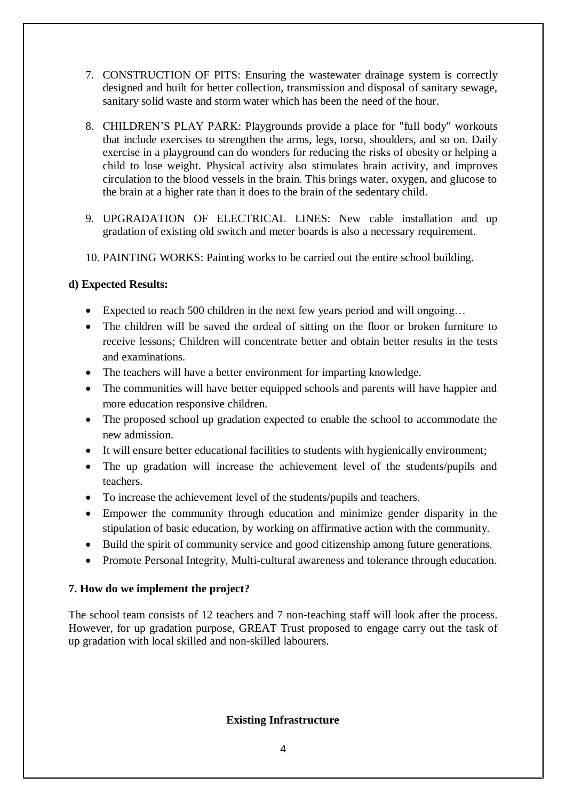- 7. CONSTRUCTION OF PITS: Ensuring the wastewater drainage system is correctly designed and built for better collection, transmission and disposal of sanitary sewage, sanitary solid waste and storm water which has been the need of the hour.
- 8. CHILDREN'S PLAY PARK: Playgrounds provide a place for "full body" workouts that include exercises to strengthen the arms, legs, torso, shoulders, and so on. Daily exercise in a playground can do wonders for reducing the risks of obesity or helping a child to lose weight. Physical activity also stimulates brain activity, and improves circulation to the blood vessels in the brain. This brings water, oxygen, and glucose to the brain at a higher rate than it does to the brain of the sedentary child.
- 9. UPGRADATION OF ELECTRICAL LINES: New cable installation and up gradation of existing old switch and meter boards is also a necessary requirement.
- 10. PAINTING WORKS: Painting works to be carried out the entire school building.

# **d) Expected Results:**

- Expected to reach 500 children in the next few years period and will ongoing...
- The children will be saved the ordeal of sitting on the floor or broken furniture to receive lessons; Children will concentrate better and obtain better results in the tests and examinations.
- The teachers will have a better environment for imparting knowledge.
- The communities will have better equipped schools and parents will have happier and more education responsive children.
- The proposed school up gradation expected to enable the school to accommodate the new admission.
- It will ensure better educational facilities to students with hygienically environment;
- The up gradation will increase the achievement level of the students/pupils and teachers.
- To increase the achievement level of the students/pupils and teachers.
- Empower the community through education and minimize gender disparity in the stipulation of basic education, by working on affirmative action with the community.
- Build the spirit of community service and good citizenship among future generations.
- Promote Personal Integrity, Multi-cultural awareness and tolerance through education.

#### **7. How do we implement the project?**

The school team consists of 12 teachers and 7 non-teaching staff will look after the process. However, for up gradation purpose, GREAT Trust proposed to engage carry out the task of up gradation with local skilled and non-skilled labourers.

#### **Existing Infrastructure**